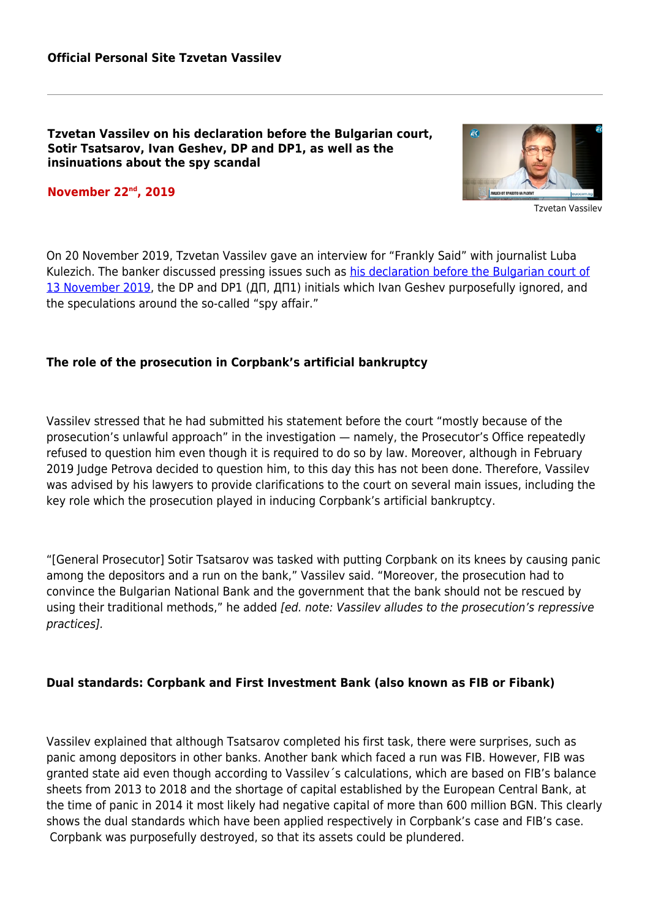**Tzvetan Vassilev on his declaration before the Bulgarian court, Sotir Tsatsarov, Ivan Geshev, DP and DP1, as well as the insinuations about the spy scandal**

### **November 22nd, 2019**



Tzvetan Vassilev

On 20 November 2019, Tzvetan Vassilev gave an interview for "Frankly Said" with journalist Luba Kulezich. The banker discussed pressing issues such as [his declaration before the Bulgarian court of](#page--1-0) [13 November 2019](#page--1-0), the DP and DP1 (ДП, ДП1) initials which Ivan Geshev purposefully ignored, and the speculations around the so-called "spy affair."

### **The role of the prosecution in Corpbank's artificial bankruptcy**

Vassilev stressed that he had submitted his statement before the court "mostly because of the prosecution's unlawful approach" in the investigation — namely, the Prosecutor's Office repeatedly refused to question him even though it is required to do so by law. Moreover, although in February 2019 Judge Petrova decided to question him, to this day this has not been done. Therefore, Vassilev was advised by his lawyers to provide clarifications to the court on several main issues, including the key role which the prosecution played in inducing Corpbank's artificial bankruptcy.

"[General Prosecutor] Sotir Tsatsarov was tasked with putting Corpbank on its knees by causing panic among the depositors and a run on the bank," Vassilev said. "Moreover, the prosecution had to convince the Bulgarian National Bank and the government that the bank should not be rescued by using their traditional methods," he added [ed. note: Vassilev alludes to the prosecution's repressive practices].

### **Dual standards: Corpbank and First Investment Bank (also known as FIB or Fibank)**

Vassilev explained that although Tsatsarov completed his first task, there were surprises, such as panic among depositors in other banks. Another bank which faced a run was FIB. However, FIB was granted state aid even though according to Vassilev´s calculations, which are based on FIB's balance sheets from 2013 to 2018 and the shortage of capital established by the European Central Bank, at the time of panic in 2014 it most likely had negative capital of more than 600 million BGN. This clearly shows the dual standards which have been applied respectively in Corpbank's case and FIB's case. Corpbank was purposefully destroyed, so that its assets could be plundered.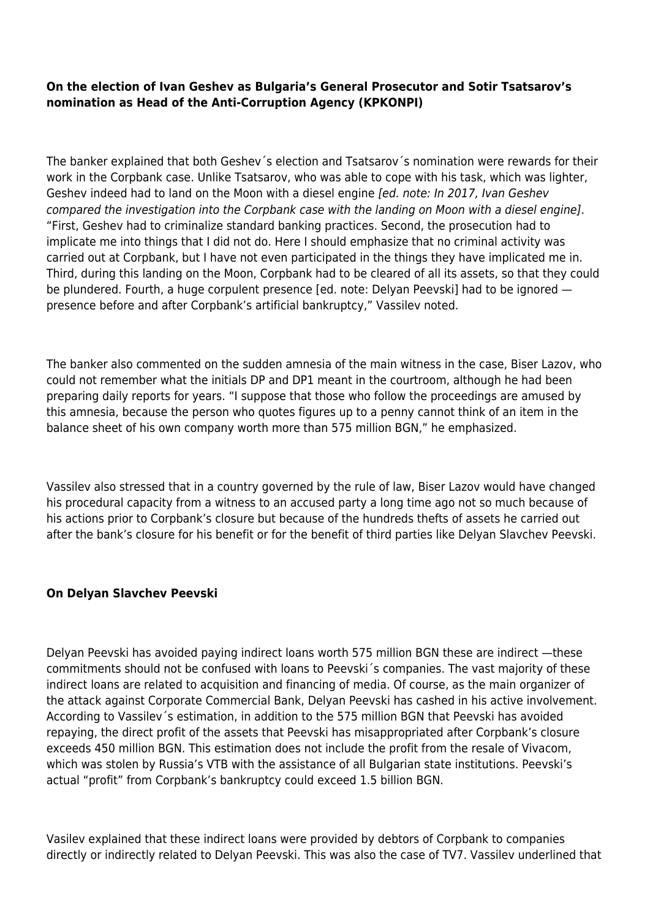# **On the election of Ivan Geshev as Bulgaria's General Prosecutor and Sotir Tsatsarov's nomination as Head of the Anti-Corruption Agency (KPKONPI)**

The banker explained that both Geshev´s election and Tsatsarov´s nomination were rewards for their work in the Corpbank case. Unlike Tsatsarov, who was able to cope with his task, which was lighter, Geshev indeed had to land on the Moon with a diesel engine [ed. note: In 2017, Ivan Geshev compared the investigation into the Corpbank case with the landing on Moon with a diesel engine]. "First, Geshev had to criminalize standard banking practices. Second, the prosecution had to implicate me into things that I did not do. Here I should emphasize that no criminal activity was carried out at Corpbank, but I have not even participated in the things they have implicated me in. Third, during this landing on the Moon, Corpbank had to be cleared of all its assets, so that they could be plundered. Fourth, a huge corpulent presence [ed. note: Delyan Peevski] had to be ignored presence before and after Corpbank's artificial bankruptcy," Vassilev noted.

The banker also commented on the sudden amnesia of the main witness in the case, Biser Lazov, who could not remember what the initials DP and DP1 meant in the courtroom, although he had been preparing daily reports for years. "I suppose that those who follow the proceedings are amused by this amnesia, because the person who quotes figures up to a penny cannot think of an item in the balance sheet of his own company worth more than 575 million BGN," he emphasized.

Vassilev also stressed that in a country governed by the rule of law, Biser Lazov would have changed his procedural capacity from a witness to an accused party a long time ago not so much because of his actions prior to Corpbank's closure but because of the hundreds thefts of assets he carried out after the bank's closure for his benefit or for the benefit of third parties like Delyan Slavchev Peevski.

## **On Delyan Slavchev Peevski**

Delyan Peevski has avoided paying indirect loans worth 575 million BGN these are indirect —these commitments should not be confused with loans to Peevski´s companies. The vast majority of these indirect loans are related to acquisition and financing of media. Of course, as the main organizer of the attack against Corporate Commercial Bank, Delyan Peevski has cashed in his active involvement. According to Vassilev´s estimation, in addition to the 575 million BGN that Peevski has avoided repaying, the direct profit of the assets that Peevski has misappropriated after Corpbank's closure exceeds 450 million BGN. This estimation does not include the profit from the resale of Vivacom, which was stolen by Russia's VTB with the assistance of all Bulgarian state institutions. Peevski's actual "profit" from Corpbank's bankruptcy could exceed 1.5 billion BGN.

Vasilev explained that these indirect loans were provided by debtors of Corpbank to companies directly or indirectly related to Delyan Peevski. This was also the case of TV7. Vassilev underlined that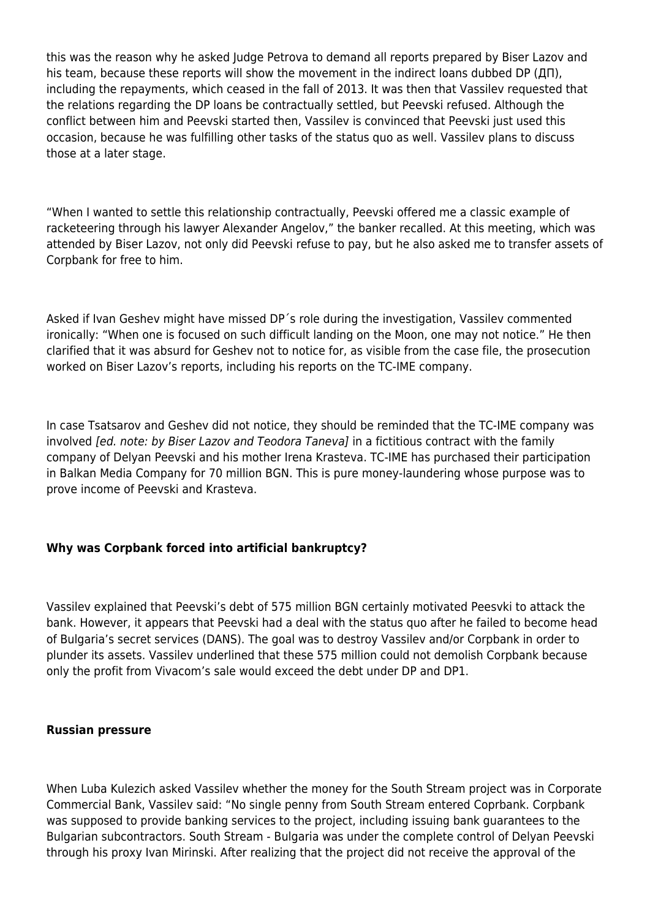this was the reason why he asked Judge Petrova to demand all reports prepared by Biser Lazov and his team, because these reports will show the movement in the indirect loans dubbed DP (ДП), including the repayments, which ceased in the fall of 2013. It was then that Vassilev requested that the relations regarding the DP loans be contractually settled, but Peevski refused. Although the conflict between him and Peevski started then, Vassilev is convinced that Peevski just used this occasion, because he was fulfilling other tasks of the status quo as well. Vassilev plans to discuss those at a later stage.

"When I wanted to settle this relationship contractually, Peevski offered me a classic example of racketeering through his lawyer Alexander Angelov," the banker recalled. At this meeting, which was attended by Biser Lazov, not only did Peevski refuse to pay, but he also asked me to transfer assets of Corpbank for free to him.

Asked if Ivan Geshev might have missed DP´s role during the investigation, Vassilev commented ironically: "When one is focused on such difficult landing on the Moon, one may not notice." He then clarified that it was absurd for Geshev not to notice for, as visible from the case file, the prosecution worked on Biser Lazov's reports, including his reports on the TC-IME company.

In case Tsatsarov and Geshev did not notice, they should be reminded that the TC-IME company was involved [ed. note: by Biser Lazov and Teodora Taneva] in a fictitious contract with the family company of Delyan Peevski and his mother Irena Krasteva. TC-IME has purchased their participation in Balkan Media Company for 70 million BGN. This is pure money-laundering whose purpose was to prove income of Peevski and Krasteva.

## **Why was Corpbank forced into artificial bankruptcy?**

Vassilev explained that Peevski's debt of 575 million BGN certainly motivated Peesvki to attack the bank. However, it appears that Peevski had a deal with the status quo after he failed to become head of Bulgaria's secret services (DANS). The goal was to destroy Vassilev and/or Corpbank in order to plunder its assets. Vassilev underlined that these 575 million could not demolish Corpbank because only the profit from Vivacom's sale would exceed the debt under DP and DP1.

### **Russian pressure**

When Luba Kulezich asked Vassilev whether the money for the South Stream project was in Corporate Commercial Bank, Vassilev said: "No single penny from South Stream entered Coprbank. Corpbank was supposed to provide banking services to the project, including issuing bank guarantees to the Bulgarian subcontractors. South Stream - Bulgaria was under the complete control of Delyan Peevski through his proxy Ivan Mirinski. After realizing that the project did not receive the approval of the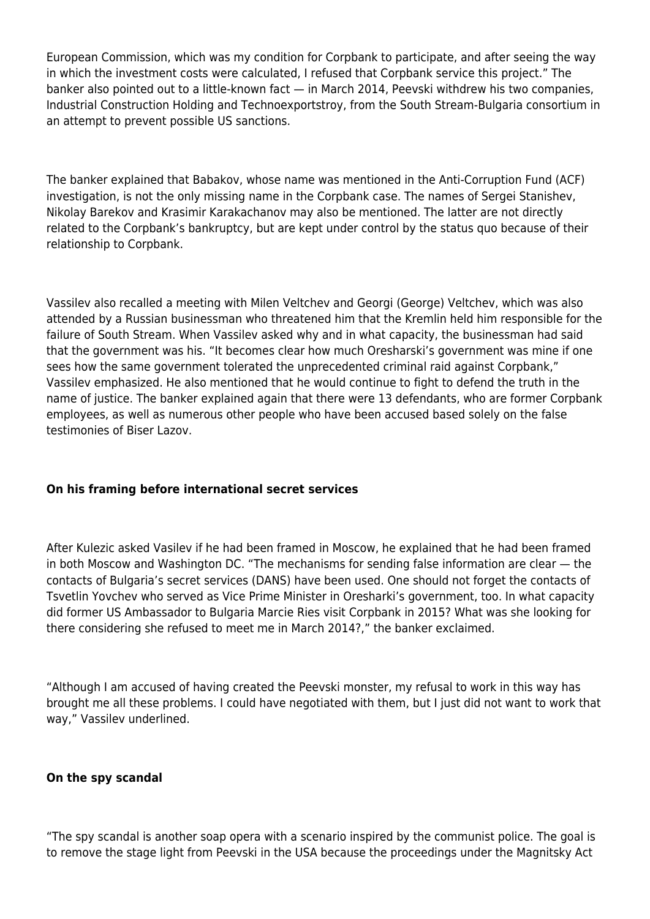European Commission, which was my condition for Corpbank to participate, and after seeing the way in which the investment costs were calculated, I refused that Corpbank service this project." The banker also pointed out to a little-known fact — in March 2014, Peevski withdrew his two companies, Industrial Construction Holding and Technoexportstroy, from the South Stream-Bulgaria consortium in an attempt to prevent possible US sanctions.

The banker explained that Babakov, whose name was mentioned in the Anti-Corruption Fund (ACF) investigation, is not the only missing name in the Corpbank case. The names of Sergei Stanishev, Nikolay Barekov and Krasimir Karakachanov may also be mentioned. The latter are not directly related to the Corpbank's bankruptcy, but are kept under control by the status quo because of their relationship to Corpbank.

Vassilev also recalled a meeting with Milen Veltchev and Georgi (George) Veltchev, which was also attended by a Russian businessman who threatened him that the Kremlin held him responsible for the failure of South Stream. When Vassilev asked why and in what capacity, the businessman had said that the government was his. "It becomes clear how much Oresharski's government was mine if one sees how the same government tolerated the unprecedented criminal raid against Corpbank," Vassilev emphasized. He also mentioned that he would continue to fight to defend the truth in the name of justice. The banker explained again that there were 13 defendants, who are former Corpbank employees, as well as numerous other people who have been accused based solely on the false testimonies of Biser Lazov.

## **On his framing before international secret services**

After Kulezic asked Vasilev if he had been framed in Moscow, he explained that he had been framed in both Moscow and Washington DC. "The mechanisms for sending false information are clear — the contacts of Bulgaria's secret services (DANS) have been used. One should not forget the contacts of Tsvetlin Yovchev who served as Vice Prime Minister in Oresharki's government, too. In what capacity did former US Ambassador to Bulgaria Marcie Ries visit Corpbank in 2015? What was she looking for there considering she refused to meet me in March 2014?," the banker exclaimed.

"Although I am accused of having created the Peevski monster, my refusal to work in this way has brought me all these problems. I could have negotiated with them, but I just did not want to work that way," Vassilev underlined.

## **On the spy scandal**

"The spy scandal is another soap opera with a scenario inspired by the communist police. The goal is to remove the stage light from Peevski in the USA because the proceedings under the Magnitsky Act